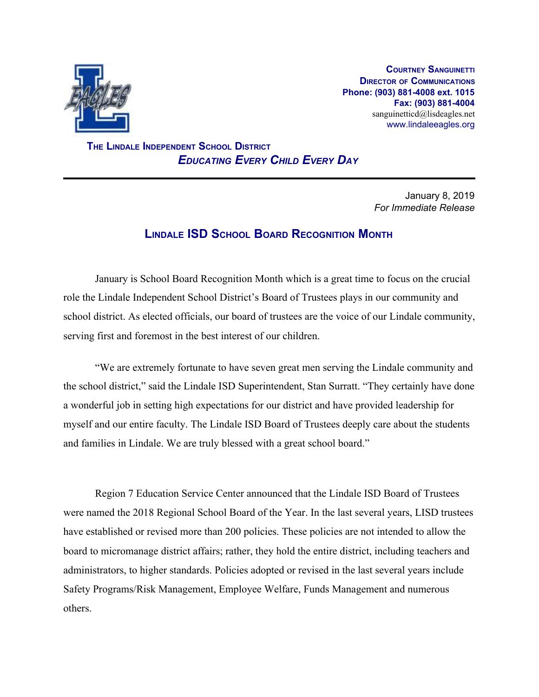

**COURTNEY SANGUINETTI DIRECTOR OF COMMUNICATIONS Phone: (903) 881-4008 ext. 1015 Fax: (903) 881-4004** sanguinetticd@lisdeagles.net www.lindaleeagles.org

 **THE LINDALE INDEPENDENT SCHOOL DISTRICT** *EDUCATING EVERY CHILD EVERY DAY*

> January 8, 2019 *For Immediate Release*

# **LINDALE ISD SCHOOL BOARD RECOGNITION MONTH**

January is School Board Recognition Month which is a great time to focus on the crucial role the Lindale Independent School District's Board of Trustees plays in our community and school district. As elected officials, our board of trustees are the voice of our Lindale community, serving first and foremost in the best interest of our children.

"We are extremely fortunate to have seven great men serving the Lindale community and the school district," said the Lindale ISD Superintendent, Stan Surratt. "They certainly have done a wonderful job in setting high expectations for our district and have provided leadership for myself and our entire faculty. The Lindale ISD Board of Trustees deeply care about the students and families in Lindale. We are truly blessed with a great school board."

Region 7 Education Service Center announced that the Lindale ISD Board of Trustees were named the 2018 Regional School Board of the Year. In the last several years, LISD trustees have established or revised more than 200 policies. These policies are not intended to allow the board to micromanage district affairs; rather, they hold the entire district, including teachers and administrators, to higher standards. Policies adopted or revised in the last several years include Safety Programs/Risk Management, Employee Welfare, Funds Management and numerous others.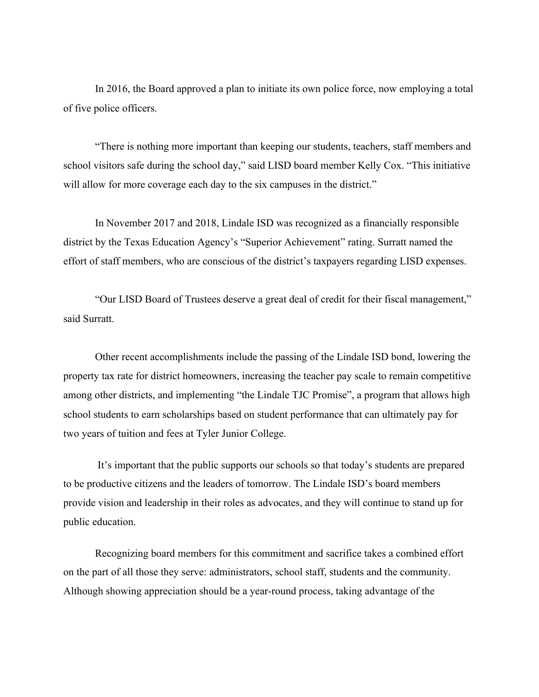In 2016, the Board approved a plan to initiate its own police force, now employing a total of five police officers.

"There is nothing more important than keeping our students, teachers, staff members and school visitors safe during the school day," said LISD board member Kelly Cox. "This initiative will allow for more coverage each day to the six campuses in the district."

In November 2017 and 2018, Lindale ISD was recognized as a financially responsible district by the Texas Education Agency's "Superior Achievement" rating. Surratt named the effort of staff members, who are conscious of the district's taxpayers regarding LISD expenses.

"Our LISD Board of Trustees deserve a great deal of credit for their fiscal management," said Surratt.

Other recent accomplishments include the passing of the Lindale ISD bond, lowering the property tax rate for district homeowners, increasing the teacher pay scale to remain competitive among other districts, and implementing "the Lindale TJC Promise", a program that allows high school students to earn scholarships based on student performance that can ultimately pay for two years of tuition and fees at Tyler Junior College.

 It's important that the public supports our schools so that today's students are prepared to be productive citizens and the leaders of tomorrow. The Lindale ISD's board members provide vision and leadership in their roles as advocates, and they will continue to stand up for public education.

Recognizing board members for this commitment and sacrifice takes a combined effort on the part of all those they serve: administrators, school staff, students and the community. Although showing appreciation should be a year-round process, taking advantage of the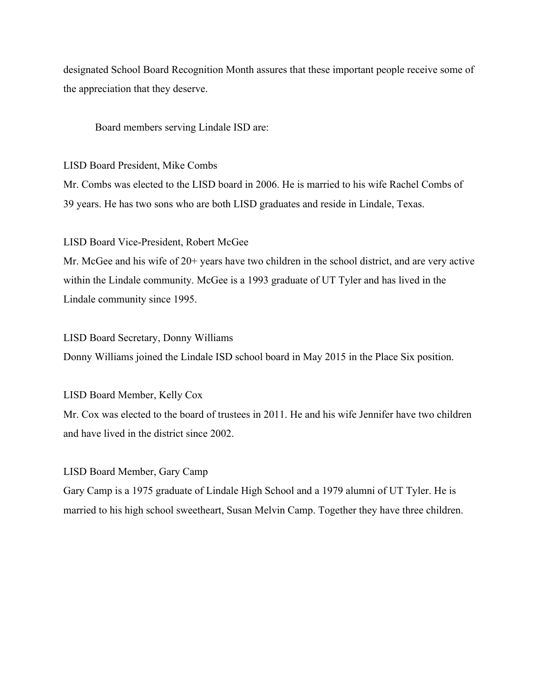designated School Board Recognition Month assures that these important people receive some of the appreciation that they deserve.

Board members serving Lindale ISD are:

LISD Board President, Mike Combs

Mr. Combs was elected to the LISD board in 2006. He is married to his wife Rachel Combs of 39 years. He has two sons who are both LISD graduates and reside in Lindale, Texas.

## LISD Board Vice-President, Robert McGee

Mr. McGee and his wife of 20+ years have two children in the school district, and are very active within the Lindale community. McGee is a 1993 graduate of UT Tyler and has lived in the Lindale community since 1995.

## LISD Board Secretary, Donny Williams

Donny Williams joined the Lindale ISD school board in May 2015 in the Place Six position.

# LISD Board Member, Kelly Cox

Mr. Cox was elected to the board of trustees in 2011. He and his wife Jennifer have two children and have lived in the district since 2002.

# LISD Board Member, Gary Camp

Gary Camp is a 1975 graduate of Lindale High School and a 1979 alumni of UT Tyler. He is married to his high school sweetheart, Susan Melvin Camp. Together they have three children.